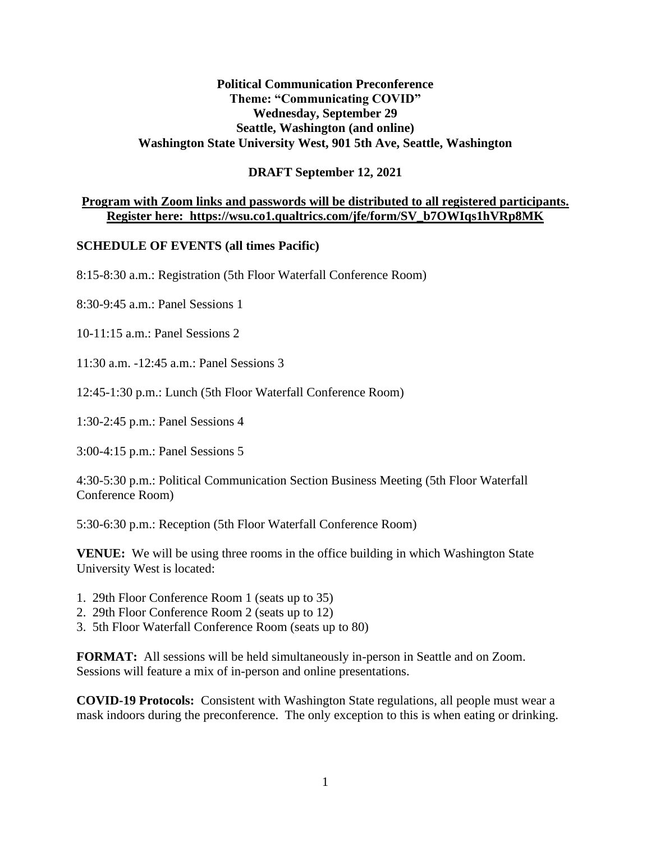#### **Political Communication Preconference Theme: "Communicating COVID" Wednesday, September 29 Seattle, Washington (and online) Washington State University West, 901 5th Ave, Seattle, Washington**

#### **DRAFT September 12, 2021**

#### **Program with Zoom links and passwords will be distributed to all registered participants. Register here: https://wsu.co1.qualtrics.com/jfe/form/SV\_b7OWIqs1hVRp8MK**

#### **SCHEDULE OF EVENTS (all times Pacific)**

8:15-8:30 a.m.: Registration (5th Floor Waterfall Conference Room)

8:30-9:45 a.m.: Panel Sessions 1

10-11:15 a.m.: Panel Sessions 2

11:30 a.m. -12:45 a.m.: Panel Sessions 3

12:45-1:30 p.m.: Lunch (5th Floor Waterfall Conference Room)

1:30-2:45 p.m.: Panel Sessions 4

3:00-4:15 p.m.: Panel Sessions 5

4:30-5:30 p.m.: Political Communication Section Business Meeting (5th Floor Waterfall Conference Room)

5:30-6:30 p.m.: Reception (5th Floor Waterfall Conference Room)

**VENUE:** We will be using three rooms in the office building in which Washington State University West is located:

- 1. 29th Floor Conference Room 1 (seats up to 35)
- 2. 29th Floor Conference Room 2 (seats up to 12)
- 3. 5th Floor Waterfall Conference Room (seats up to 80)

**FORMAT:** All sessions will be held simultaneously in-person in Seattle and on Zoom. Sessions will feature a mix of in-person and online presentations.

**COVID-19 Protocols:** Consistent with Washington State regulations, all people must wear a mask indoors during the preconference. The only exception to this is when eating or drinking.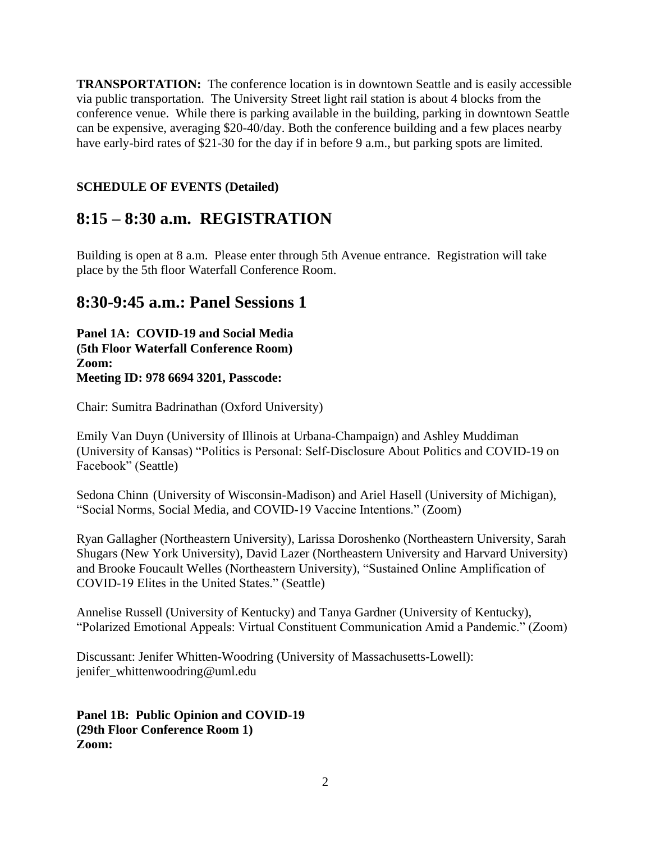**TRANSPORTATION:** The conference location is in downtown Seattle and is easily accessible via public transportation. The University Street light rail station is about 4 blocks from the conference venue. While there is parking available in the building, parking in downtown Seattle can be expensive, averaging \$20-40/day. Both the conference building and a few places nearby have early-bird rates of \$21-30 for the day if in before 9 a.m., but parking spots are limited.

#### **SCHEDULE OF EVENTS (Detailed)**

## **8:15 – 8:30 a.m. REGISTRATION**

Building is open at 8 a.m. Please enter through 5th Avenue entrance. Registration will take place by the 5th floor Waterfall Conference Room.

### **8:30-9:45 a.m.: Panel Sessions 1**

**Panel 1A: COVID-19 and Social Media (5th Floor Waterfall Conference Room) Zoom: Meeting ID: 978 6694 3201, Passcode:** 

Chair: Sumitra Badrinathan (Oxford University)

Emily Van Duyn (University of Illinois at Urbana-Champaign) and Ashley Muddiman (University of Kansas) "Politics is Personal: Self-Disclosure About Politics and COVID-19 on Facebook" (Seattle)

Sedona Chinn (University of Wisconsin-Madison) and Ariel Hasell (University of Michigan), "Social Norms, Social Media, and COVID-19 Vaccine Intentions." (Zoom)

Ryan Gallagher (Northeastern University), Larissa Doroshenko (Northeastern University, Sarah Shugars (New York University), David Lazer (Northeastern University and Harvard University) and Brooke Foucault Welles (Northeastern University), "Sustained Online Amplification of COVID-19 Elites in the United States." (Seattle)

Annelise Russell (University of Kentucky) and Tanya Gardner (University of Kentucky), "Polarized Emotional Appeals: Virtual Constituent Communication Amid a Pandemic." (Zoom)

Discussant: Jenifer Whitten-Woodring (University of Massachusetts-Lowell): jenifer\_whittenwoodring@uml.edu

**Panel 1B: Public Opinion and COVID-19 (29th Floor Conference Room 1) Zoom:**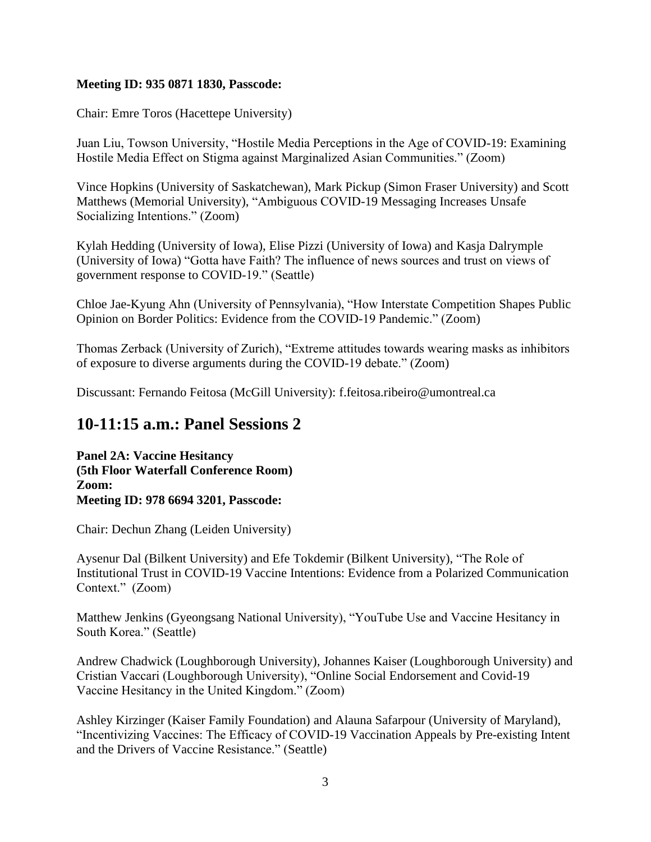#### **Meeting ID: 935 0871 1830, Passcode:**

Chair: Emre Toros (Hacettepe University)

Juan Liu, Towson University, "Hostile Media Perceptions in the Age of COVID-19: Examining Hostile Media Effect on Stigma against Marginalized Asian Communities." (Zoom)

Vince Hopkins (University of Saskatchewan), Mark Pickup (Simon Fraser University) and Scott Matthews (Memorial University), "Ambiguous COVID-19 Messaging Increases Unsafe Socializing Intentions." (Zoom)

Kylah Hedding (University of Iowa), Elise Pizzi (University of Iowa) and Kasja Dalrymple (University of Iowa) "Gotta have Faith? The influence of news sources and trust on views of government response to COVID-19." (Seattle)

Chloe Jae-Kyung Ahn (University of Pennsylvania), "How Interstate Competition Shapes Public Opinion on Border Politics: Evidence from the COVID-19 Pandemic." (Zoom)

Thomas Zerback (University of Zurich), "Extreme attitudes towards wearing masks as inhibitors of exposure to diverse arguments during the COVID-19 debate." (Zoom)

Discussant: Fernando Feitosa (McGill University): f.feitosa.ribeiro@umontreal.ca

### **10-11:15 a.m.: Panel Sessions 2**

**Panel 2A: Vaccine Hesitancy (5th Floor Waterfall Conference Room) Zoom: Meeting ID: 978 6694 3201, Passcode:** 

Chair: Dechun Zhang (Leiden University)

Aysenur Dal (Bilkent University) and Efe Tokdemir (Bilkent University), "The Role of Institutional Trust in COVID-19 Vaccine Intentions: Evidence from a Polarized Communication Context." (Zoom)

Matthew Jenkins (Gyeongsang National University), "YouTube Use and Vaccine Hesitancy in South Korea." (Seattle)

Andrew Chadwick (Loughborough University), Johannes Kaiser (Loughborough University) and Cristian Vaccari (Loughborough University), "Online Social Endorsement and Covid-19 Vaccine Hesitancy in the United Kingdom." (Zoom)

Ashley Kirzinger (Kaiser Family Foundation) and Alauna Safarpour (University of Maryland), "Incentivizing Vaccines: The Efficacy of COVID-19 Vaccination Appeals by Pre-existing Intent and the Drivers of Vaccine Resistance." (Seattle)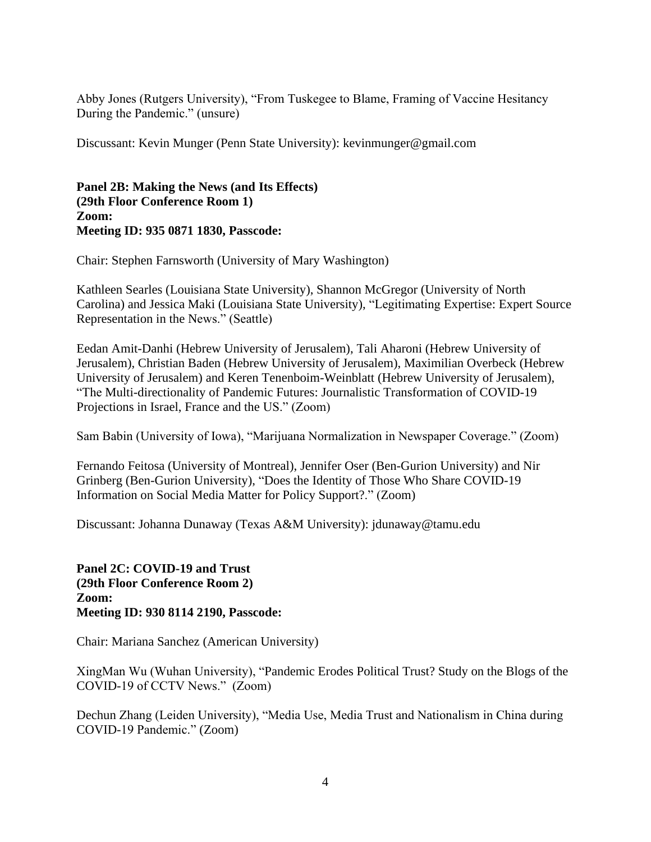Abby Jones (Rutgers University), "From Tuskegee to Blame, Framing of Vaccine Hesitancy During the Pandemic." (unsure)

Discussant: Kevin Munger (Penn State University): kevinmunger@gmail.com

#### **Panel 2B: Making the News (and Its Effects) (29th Floor Conference Room 1) Zoom: Meeting ID: 935 0871 1830, Passcode:**

Chair: Stephen Farnsworth (University of Mary Washington)

Kathleen Searles (Louisiana State University), Shannon McGregor (University of North Carolina) and Jessica Maki (Louisiana State University), "Legitimating Expertise: Expert Source Representation in the News." (Seattle)

Eedan Amit-Danhi (Hebrew University of Jerusalem), Tali Aharoni (Hebrew University of Jerusalem), Christian Baden (Hebrew University of Jerusalem), Maximilian Overbeck (Hebrew University of Jerusalem) and Keren Tenenboim-Weinblatt (Hebrew University of Jerusalem), "The Multi-directionality of Pandemic Futures: Journalistic Transformation of COVID-19 Projections in Israel, France and the US." (Zoom)

Sam Babin (University of Iowa), "Marijuana Normalization in Newspaper Coverage." (Zoom)

Fernando Feitosa (University of Montreal), Jennifer Oser (Ben-Gurion University) and Nir Grinberg (Ben-Gurion University), "Does the Identity of Those Who Share COVID-19 Information on Social Media Matter for Policy Support?." (Zoom)

Discussant: Johanna Dunaway (Texas A&M University): jdunaway@tamu.edu

**Panel 2C: COVID-19 and Trust (29th Floor Conference Room 2) Zoom: Meeting ID: 930 8114 2190, Passcode:** 

Chair: Mariana Sanchez (American University)

XingMan Wu (Wuhan University), "Pandemic Erodes Political Trust? Study on the Blogs of the COVID-19 of CCTV News." (Zoom)

Dechun Zhang (Leiden University), "Media Use, Media Trust and Nationalism in China during COVID-19 Pandemic." (Zoom)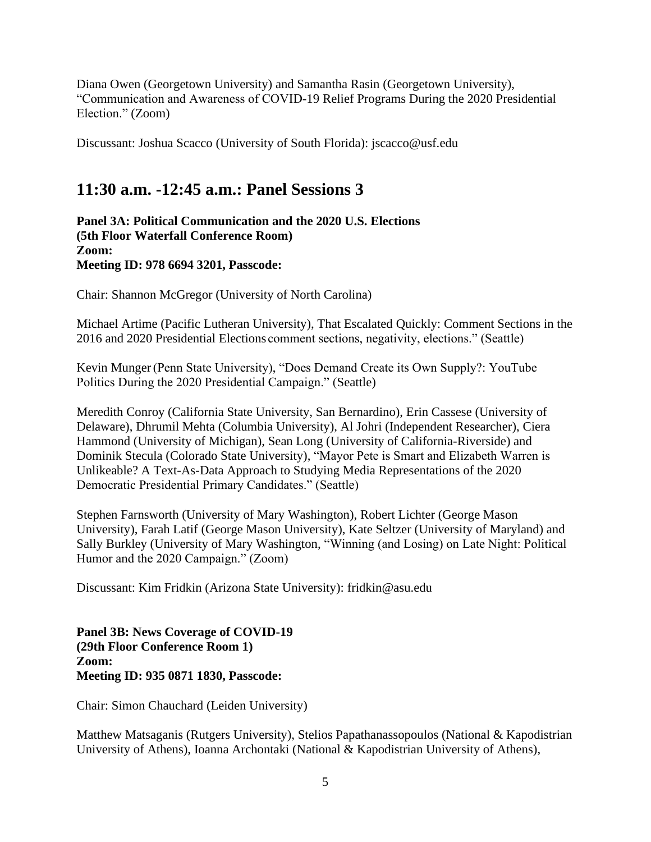Diana Owen (Georgetown University) and Samantha Rasin (Georgetown University), "Communication and Awareness of COVID-19 Relief Programs During the 2020 Presidential Election." (Zoom)

Discussant: Joshua Scacco (University of South Florida): jscacco@usf.edu

## **11:30 a.m. -12:45 a.m.: Panel Sessions 3**

**Panel 3A: Political Communication and the 2020 U.S. Elections (5th Floor Waterfall Conference Room) Zoom: Meeting ID: 978 6694 3201, Passcode:** 

Chair: Shannon McGregor (University of North Carolina)

Michael Artime (Pacific Lutheran University), That Escalated Quickly: Comment Sections in the 2016 and 2020 Presidential Elections comment sections, negativity, elections." (Seattle)

Kevin Munger(Penn State University), "Does Demand Create its Own Supply?: YouTube Politics During the 2020 Presidential Campaign." (Seattle)

Meredith Conroy (California State University, San Bernardino), Erin Cassese (University of Delaware), Dhrumil Mehta (Columbia University), Al Johri (Independent Researcher), Ciera Hammond (University of Michigan), Sean Long (University of California-Riverside) and Dominik Stecula (Colorado State University), "Mayor Pete is Smart and Elizabeth Warren is Unlikeable? A Text-As-Data Approach to Studying Media Representations of the 2020 Democratic Presidential Primary Candidates." (Seattle)

Stephen Farnsworth (University of Mary Washington), Robert Lichter (George Mason University), Farah Latif (George Mason University), Kate Seltzer (University of Maryland) and Sally Burkley (University of Mary Washington, "Winning (and Losing) on Late Night: Political Humor and the 2020 Campaign." (Zoom)

Discussant: Kim Fridkin (Arizona State University): fridkin@asu.edu

**Panel 3B: News Coverage of COVID-19 (29th Floor Conference Room 1) Zoom: Meeting ID: 935 0871 1830, Passcode:** 

Chair: Simon Chauchard (Leiden University)

Matthew Matsaganis (Rutgers University), Stelios Papathanassopoulos (National & Kapodistrian University of Athens), Ioanna Archontaki (National & Kapodistrian University of Athens),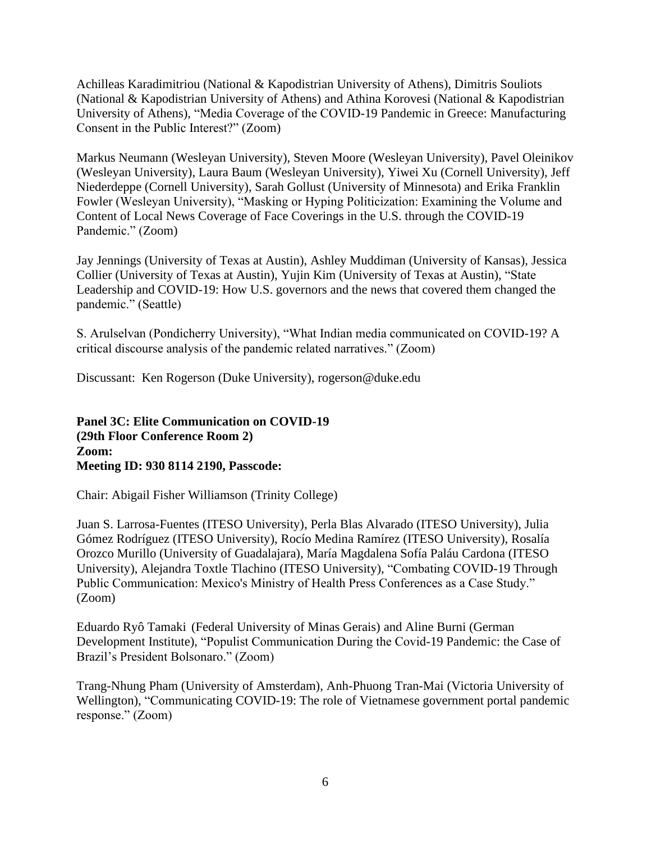Achilleas Karadimitriou (National & Kapodistrian University of Athens), Dimitris Souliots (National & Kapodistrian University of Athens) and Athina Korovesi (National & Kapodistrian University of Athens), "Media Coverage of the COVID-19 Pandemic in Greece: Manufacturing Consent in the Public Interest?" (Zoom)

Markus Neumann (Wesleyan University), Steven Moore (Wesleyan University), Pavel Oleinikov (Wesleyan University), Laura Baum (Wesleyan University), Yiwei Xu (Cornell University), Jeff Niederdeppe (Cornell University), Sarah Gollust (University of Minnesota) and Erika Franklin Fowler (Wesleyan University), "Masking or Hyping Politicization: Examining the Volume and Content of Local News Coverage of Face Coverings in the U.S. through the COVID-19 Pandemic." (Zoom)

Jay Jennings (University of Texas at Austin), Ashley Muddiman (University of Kansas), Jessica Collier (University of Texas at Austin), Yujin Kim (University of Texas at Austin), "State Leadership and COVID-19: How U.S. governors and the news that covered them changed the pandemic." (Seattle)

S. Arulselvan (Pondicherry University), "What Indian media communicated on COVID-19? A critical discourse analysis of the pandemic related narratives." (Zoom)

Discussant: Ken Rogerson (Duke University), rogerson@duke.edu

**Panel 3C: Elite Communication on COVID-19 (29th Floor Conference Room 2) Zoom: Meeting ID: 930 8114 2190, Passcode:** 

Chair: Abigail Fisher Williamson (Trinity College)

Juan S. Larrosa-Fuentes (ITESO University), Perla Blas Alvarado (ITESO University), Julia Gómez Rodríguez (ITESO University), Rocío Medina Ramírez (ITESO University), Rosalía Orozco Murillo (University of Guadalajara), María Magdalena Sofía Paláu Cardona (ITESO University), Alejandra Toxtle Tlachino (ITESO University), "Combating COVID-19 Through Public Communication: Mexico's Ministry of Health Press Conferences as a Case Study." (Zoom)

Eduardo Ryô Tamaki (Federal University of Minas Gerais) and Aline Burni (German Development Institute), "Populist Communication During the Covid-19 Pandemic: the Case of Brazil's President Bolsonaro." (Zoom)

Trang-Nhung Pham (University of Amsterdam), Anh-Phuong Tran-Mai (Victoria University of Wellington), "Communicating COVID-19: The role of Vietnamese government portal pandemic response." (Zoom)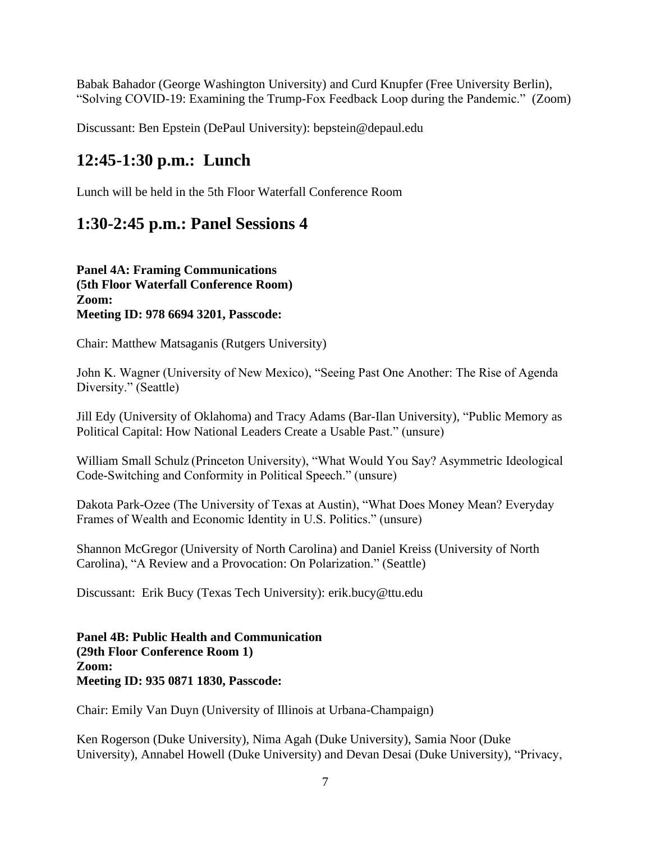Babak Bahador (George Washington University) and Curd Knupfer (Free University Berlin), "Solving COVID-19: Examining the Trump-Fox Feedback Loop during the Pandemic." (Zoom)

Discussant: Ben Epstein (DePaul University): bepstein@depaul.edu

## **12:45-1:30 p.m.: Lunch**

Lunch will be held in the 5th Floor Waterfall Conference Room

## **1:30-2:45 p.m.: Panel Sessions 4**

**Panel 4A: Framing Communications (5th Floor Waterfall Conference Room) Zoom: Meeting ID: 978 6694 3201, Passcode:** 

Chair: Matthew Matsaganis (Rutgers University)

John K. Wagner (University of New Mexico), "Seeing Past One Another: The Rise of Agenda Diversity." (Seattle)

Jill Edy (University of Oklahoma) and Tracy Adams (Bar-Ilan University), "Public Memory as Political Capital: How National Leaders Create a Usable Past." (unsure)

William Small Schulz (Princeton University), "What Would You Say? Asymmetric Ideological Code-Switching and Conformity in Political Speech." (unsure)

Dakota Park-Ozee (The University of Texas at Austin), "What Does Money Mean? Everyday Frames of Wealth and Economic Identity in U.S. Politics." (unsure)

Shannon McGregor (University of North Carolina) and Daniel Kreiss (University of North Carolina), "A Review and a Provocation: On Polarization." (Seattle)

Discussant: Erik Bucy (Texas Tech University): erik.bucy@ttu.edu

**Panel 4B: Public Health and Communication (29th Floor Conference Room 1) Zoom: Meeting ID: 935 0871 1830, Passcode:** 

Chair: Emily Van Duyn (University of Illinois at Urbana-Champaign)

Ken Rogerson (Duke University), Nima Agah (Duke University), Samia Noor (Duke University), Annabel Howell (Duke University) and Devan Desai (Duke University), "Privacy,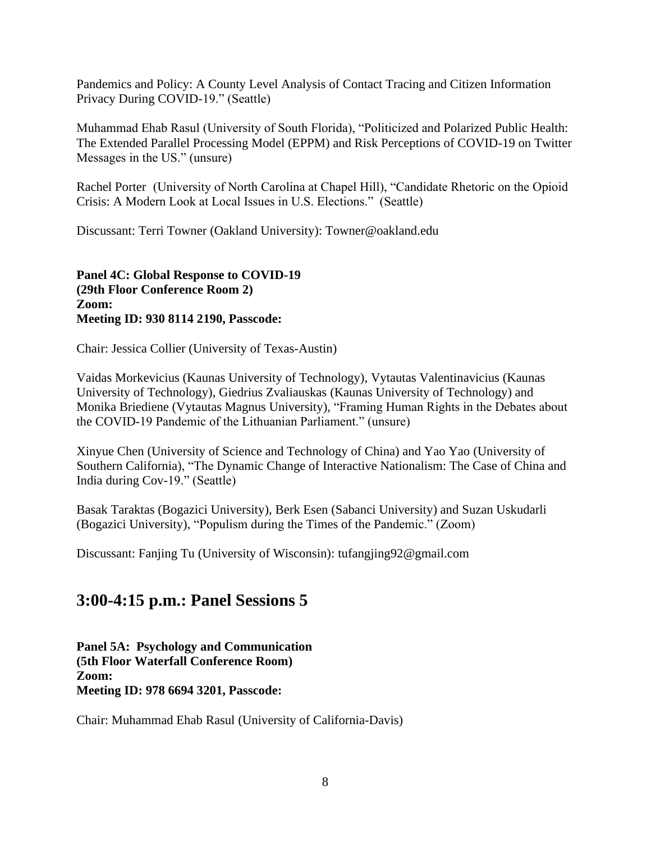Pandemics and Policy: A County Level Analysis of Contact Tracing and Citizen Information Privacy During COVID-19." (Seattle)

Muhammad Ehab Rasul (University of South Florida), "Politicized and Polarized Public Health: The Extended Parallel Processing Model (EPPM) and Risk Perceptions of COVID-19 on Twitter Messages in the US." (unsure)

Rachel Porter (University of North Carolina at Chapel Hill), "Candidate Rhetoric on the Opioid Crisis: A Modern Look at Local Issues in U.S. Elections." (Seattle)

Discussant: Terri Towner (Oakland University): Towner@oakland.edu

**Panel 4C: Global Response to COVID-19 (29th Floor Conference Room 2) Zoom: Meeting ID: 930 8114 2190, Passcode:** 

Chair: Jessica Collier (University of Texas-Austin)

Vaidas Morkevicius (Kaunas University of Technology), Vytautas Valentinavicius (Kaunas University of Technology), Giedrius Zvaliauskas (Kaunas University of Technology) and Monika Briediene (Vytautas Magnus University), "Framing Human Rights in the Debates about the COVID-19 Pandemic of the Lithuanian Parliament." (unsure)

Xinyue Chen (University of Science and Technology of China) and Yao Yao (University of Southern California), "The Dynamic Change of Interactive Nationalism: The Case of China and India during Cov-19." (Seattle)

Basak Taraktas (Bogazici University), Berk Esen (Sabanci University) and Suzan Uskudarli (Bogazici University), "Populism during the Times of the Pandemic." (Zoom)

Discussant: Fanjing Tu (University of Wisconsin): tufangjing92@gmail.com

### **3:00-4:15 p.m.: Panel Sessions 5**

**Panel 5A: Psychology and Communication (5th Floor Waterfall Conference Room) Zoom: Meeting ID: 978 6694 3201, Passcode:** 

Chair: Muhammad Ehab Rasul (University of California-Davis)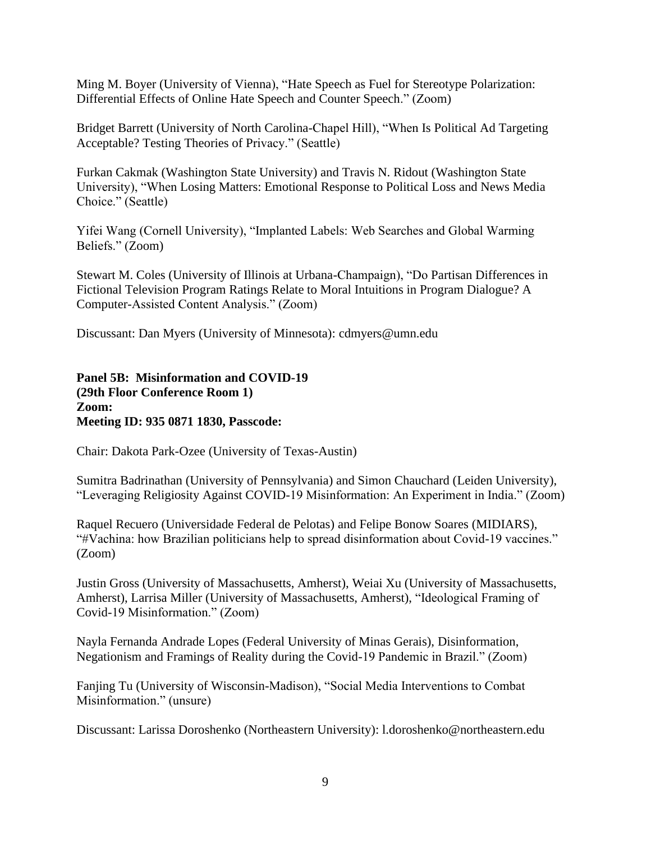Ming M. Boyer (University of Vienna), "Hate Speech as Fuel for Stereotype Polarization: Differential Effects of Online Hate Speech and Counter Speech." (Zoom)

Bridget Barrett (University of North Carolina-Chapel Hill), "When Is Political Ad Targeting Acceptable? Testing Theories of Privacy." (Seattle)

Furkan Cakmak (Washington State University) and Travis N. Ridout (Washington State University), "When Losing Matters: Emotional Response to Political Loss and News Media Choice." (Seattle)

Yifei Wang (Cornell University), "Implanted Labels: Web Searches and Global Warming Beliefs." (Zoom)

Stewart M. Coles (University of Illinois at Urbana-Champaign), "Do Partisan Differences in Fictional Television Program Ratings Relate to Moral Intuitions in Program Dialogue? A Computer-Assisted Content Analysis." (Zoom)

Discussant: Dan Myers (University of Minnesota): cdmyers@umn.edu

**Panel 5B: Misinformation and COVID-19 (29th Floor Conference Room 1) Zoom: Meeting ID: 935 0871 1830, Passcode:** 

Chair: Dakota Park-Ozee (University of Texas-Austin)

Sumitra Badrinathan (University of Pennsylvania) and Simon Chauchard (Leiden University), "Leveraging Religiosity Against COVID-19 Misinformation: An Experiment in India." (Zoom)

Raquel Recuero (Universidade Federal de Pelotas) and Felipe Bonow Soares (MIDIARS), "#Vachina: how Brazilian politicians help to spread disinformation about Covid-19 vaccines." (Zoom)

Justin Gross (University of Massachusetts, Amherst), Weiai Xu (University of Massachusetts, Amherst), Larrisa Miller (University of Massachusetts, Amherst), "Ideological Framing of Covid-19 Misinformation." (Zoom)

Nayla Fernanda Andrade Lopes (Federal University of Minas Gerais), Disinformation, Negationism and Framings of Reality during the Covid-19 Pandemic in Brazil." (Zoom)

Fanjing Tu (University of Wisconsin-Madison), "Social Media Interventions to Combat Misinformation." (unsure)

Discussant: Larissa Doroshenko (Northeastern University): l.doroshenko@northeastern.edu